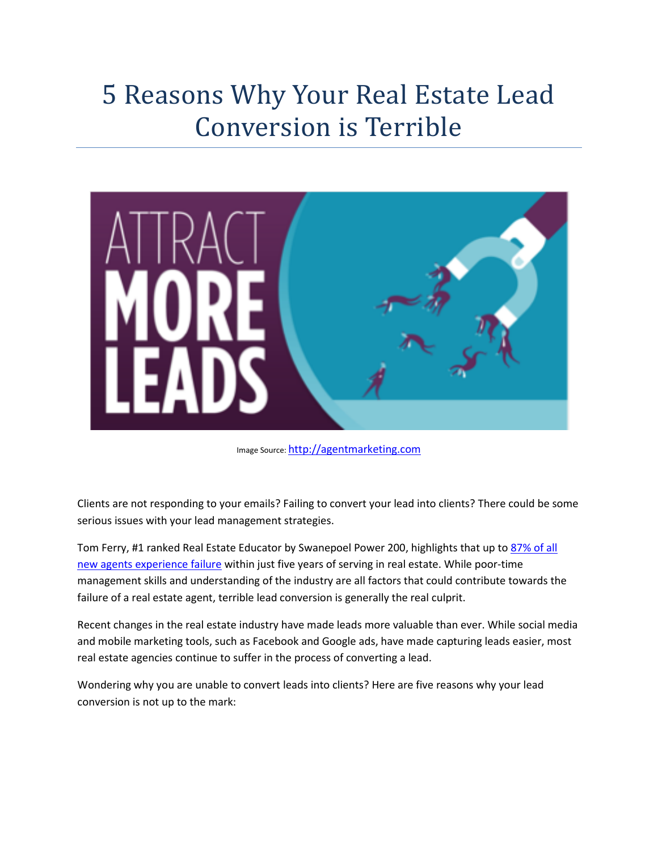# 5 Reasons Why Your Real Estate Lead Conversion is Terrible



Image Source: [http://agentmarketing.com](http://agentmarketing.com/assets/admin/img/guide/filelocker/1404324837.jpg)

Clients are not responding to your emails? Failing to convert your lead into clients? There could be some serious issues with your lead management strategies.

Tom Ferry, #1 ranked Real Estate Educator by Swanepoel Power 200, highlights that up to [87% of all](http://www.tomferry.com/blog/87-of-all-agents-fail-in-real-estate/)  [new agents experience failure](http://www.tomferry.com/blog/87-of-all-agents-fail-in-real-estate/) within just five years of serving in real estate. While poor-time management skills and understanding of the industry are all factors that could contribute towards the failure of a real estate agent, terrible lead conversion is generally the real culprit.

Recent changes in the real estate industry have made leads more valuable than ever. While social media and mobile marketing tools, such as Facebook and Google ads, have made capturing leads easier, most real estate agencies continue to suffer in the process of converting a lead.

Wondering why you are unable to convert leads into clients? Here are five reasons why your lead conversion is not up to the mark: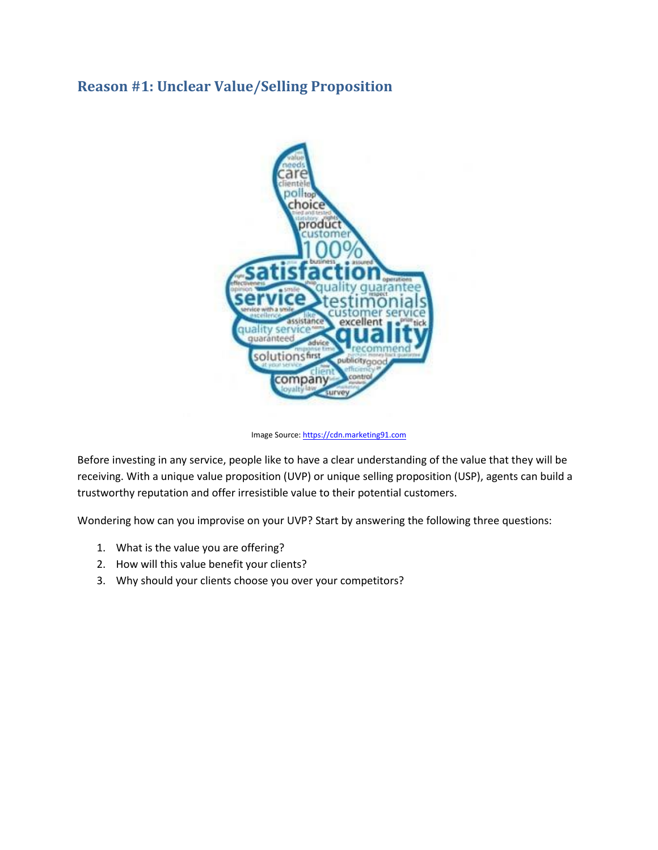## **Reason #1: Unclear Value/Selling Proposition**



Image Source[: https://cdn.marketing91.com](https://cdn.marketing91.com/wp-content/uploads/2010/12/How-to-make-Customer-value-proposition.jpg)

Before investing in any service, people like to have a clear understanding of the value that they will be receiving. With a unique value proposition (UVP) or unique selling proposition (USP), agents can build a trustworthy reputation and offer irresistible value to their potential customers.

Wondering how can you improvise on your UVP? Start by answering the following three questions:

- 1. What is the value you are offering?
- 2. How will this value benefit your clients?
- 3. Why should your clients choose you over your competitors?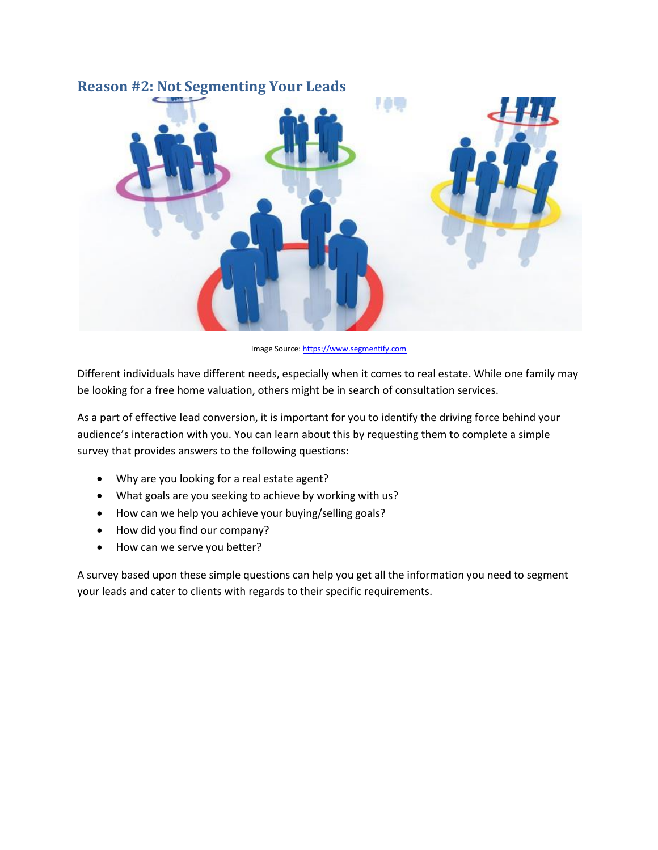

Image Source[: https://www.segmentify.com](https://www.segmentify.com/blog/wp-content/uploads/2016/10/data-segmentation-image.jpg)

Different individuals have different needs, especially when it comes to real estate. While one family may be looking for a free home valuation, others might be in search of consultation services.

As a part of effective lead conversion, it is important for you to identify the driving force behind your audience's interaction with you. You can learn about this by requesting them to complete a simple survey that provides answers to the following questions:

- Why are you looking for a real estate agent?
- What goals are you seeking to achieve by working with us?
- How can we help you achieve your buying/selling goals?
- How did you find our company?
- How can we serve you better?

A survey based upon these simple questions can help you get all the information you need to segment your leads and cater to clients with regards to their specific requirements.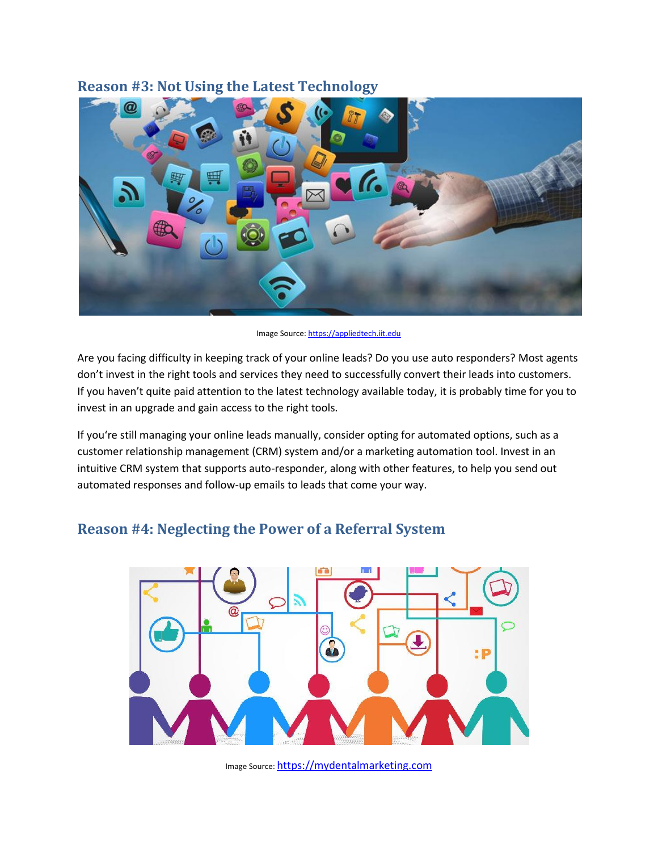### **Reason #3: Not Using the Latest Technology**



Image Source[: https://appliedtech.iit.edu](https://appliedtech.iit.edu/sites/sat/files/field_uploads/hero/right/itm_greatcareers_image.jpg)

Are you facing difficulty in keeping track of your online leads? Do you use auto responders? Most agents don't invest in the right tools and services they need to successfully convert their leads into customers. If you haven't quite paid attention to the latest technology available today, it is probably time for you to invest in an upgrade and gain access to the right tools.

If you're still managing your online leads manually, consider opting for automated options, such as a customer relationship management (CRM) system and/or a marketing automation tool. Invest in an intuitive CRM system that supports auto-responder, along with other features, to help you send out automated responses and follow-up emails to leads that come your way.



### **Reason #4: Neglecting the Power of a Referral System**

Image Source: [https://mydentalmarketing.com](https://mydentalmarketing.com.au/wp-content/uploads/2016/08/6.referral.jpg)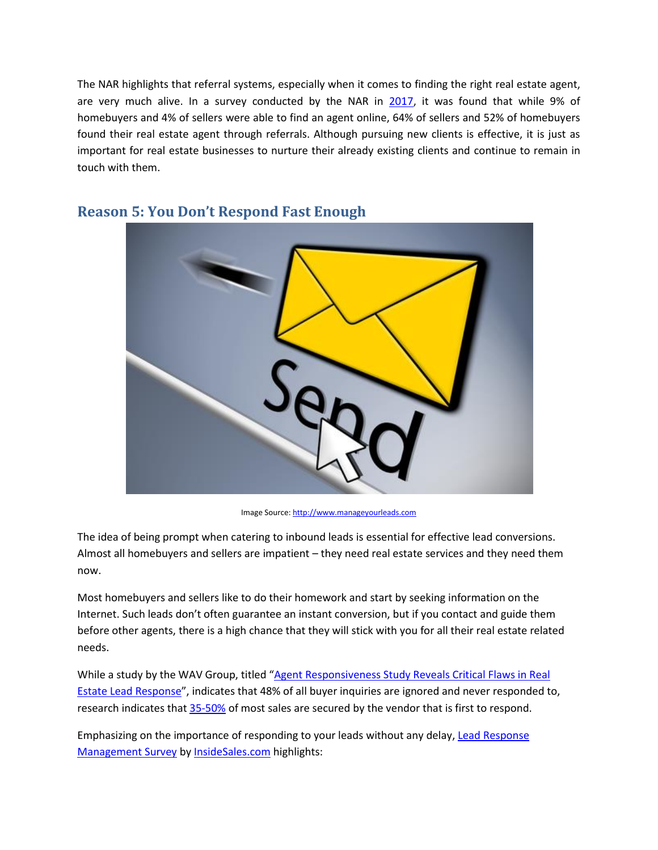The NAR highlights that referral systems, especially when it comes to finding the right real estate agent, are very much alive. In a survey conducted by the NAR in [2017,](https://www.nar.realtor/research-and-statistics/research-reports/home-buyer-and-seller-generational-trends) it was found that while 9% of homebuyers and 4% of sellers were able to find an agent online, 64% of sellers and 52% of homebuyers found their real estate agent through referrals. Although pursuing new clients is effective, it is just as important for real estate businesses to nurture their already existing clients and continue to remain in touch with them.



#### **Reason 5: You Don't Respond Fast Enough**

Image Source[: http://www.manageyourleads.com](http://www.manageyourleads.com/wp-content/uploads/2012/06/email-response.jpg)

The idea of being prompt when catering to inbound leads is essential for effective lead conversions. Almost all homebuyers and sellers are impatient – they need real estate services and they need them now.

Most homebuyers and sellers like to do their homework and start by seeking information on the Internet. Such leads don't often guarantee an instant conversion, but if you contact and guide them before other agents, there is a high chance that they will stick with you for all their real estate related needs.

While a study by the WAV Group, titled "Agent Responsiveness Study Reveals Critical Flaws in Real [Estate Lead Response](http://waves.wavgroup.com/2014/01/13/agent-responsiveness-study-reveals-critical-flaws-in-real-estate-lead-response/)", indicates that 48% of all buyer inquiries are ignored and never responded to, research indicates tha[t 35-50%](https://www.insidesales.com/insider/lead-management/sales-psychology-self-selectiong-get-there-first/) of most sales are secured by the vendor that is first to respond.

Emphasizing on the importance of responding to your leads without any delay, [Lead Response](http://www.leadresponsemanagement.org/lrm_study)  [Management Survey](http://www.leadresponsemanagement.org/lrm_study) b[y InsideSales.com](https://www.insidesales.com/free-trial/hosted-dialer/) highlights: